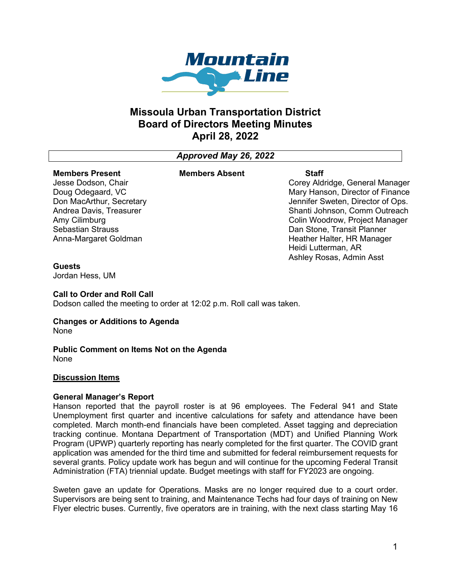

# **Missoula Urban Transportation District Board of Directors Meeting Minutes April 28, 2022**

# *Approved May 26, 2022*

#### **Members Present** Jesse Dodson, Chair

Doug Odegaard, VC Don MacArthur, Secretary Andrea Davis, Treasurer

Amy Cilimburg Sebastian Strauss

## **Members Absent Staff**

Corey Aldridge, General Manager Mary Hanson, Director of Finance Jennifer Sweten, Director of Ops. Shanti Johnson, Comm Outreach Colin Woodrow, Project Manager Dan Stone, Transit Planner Heather Halter, HR Manager Heidi Lutterman, AR Ashley Rosas, Admin Asst

# **Guests**

Jordan Hess, UM

# **Call to Order and Roll Call**

Anna-Margaret Goldman

Dodson called the meeting to order at 12:02 p.m. Roll call was taken.

#### **Changes or Additions to Agenda** None

#### **Public Comment on Items Not on the Agenda** None

## **Discussion Items**

# **General Manager's Report**

Hanson reported that the payroll roster is at 96 employees. The Federal 941 and State Unemployment first quarter and incentive calculations for safety and attendance have been completed. March month-end financials have been completed. Asset tagging and depreciation tracking continue. Montana Department of Transportation (MDT) and Unified Planning Work Program (UPWP) quarterly reporting has nearly completed for the first quarter. The COVID grant application was amended for the third time and submitted for federal reimbursement requests for several grants. Policy update work has begun and will continue for the upcoming Federal Transit Administration (FTA) triennial update. Budget meetings with staff for FY2023 are ongoing.

Sweten gave an update for Operations. Masks are no longer required due to a court order. Supervisors are being sent to training, and Maintenance Techs had four days of training on New Flyer electric buses. Currently, five operators are in training, with the next class starting May 16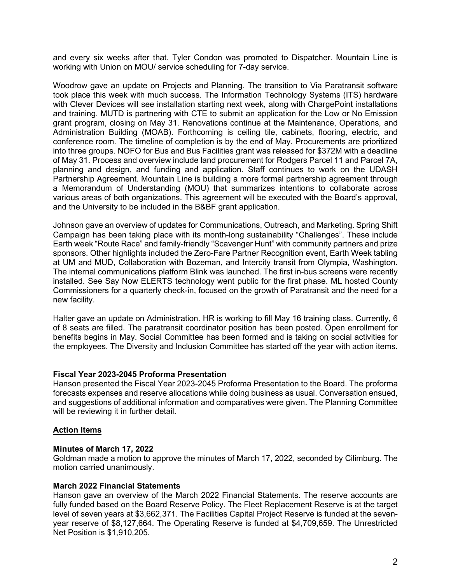and every six weeks after that. Tyler Condon was promoted to Dispatcher. Mountain Line is working with Union on MOU/ service scheduling for 7-day service.

Woodrow gave an update on Projects and Planning. The transition to Via Paratransit software took place this week with much success. The Information Technology Systems (ITS) hardware with Clever Devices will see installation starting next week, along with ChargePoint installations and training. MUTD is partnering with CTE to submit an application for the Low or No Emission grant program, closing on May 31. Renovations continue at the Maintenance, Operations, and Administration Building (MOAB). Forthcoming is ceiling tile, cabinets, flooring, electric, and conference room. The timeline of completion is by the end of May. Procurements are prioritized into three groups. NOFO for Bus and Bus Facilities grant was released for \$372M with a deadline of May 31. Process and overview include land procurement for Rodgers Parcel 11 and Parcel 7A, planning and design, and funding and application. Staff continues to work on the UDASH Partnership Agreement. Mountain Line is building a more formal partnership agreement through a Memorandum of Understanding (MOU) that summarizes intentions to collaborate across various areas of both organizations. This agreement will be executed with the Board's approval, and the University to be included in the B&BF grant application.

Johnson gave an overview of updates for Communications, Outreach, and Marketing. Spring Shift Campaign has been taking place with its month-long sustainability "Challenges". These include Earth week "Route Race" and family-friendly "Scavenger Hunt" with community partners and prize sponsors. Other highlights included the Zero-Fare Partner Recognition event, Earth Week tabling at UM and MUD, Collaboration with Bozeman, and Intercity transit from Olympia, Washington. The internal communications platform Blink was launched. The first in-bus screens were recently installed. See Say Now ELERTS technology went public for the first phase. ML hosted County Commissioners for a quarterly check-in, focused on the growth of Paratransit and the need for a new facility.

Halter gave an update on Administration. HR is working to fill May 16 training class. Currently, 6 of 8 seats are filled. The paratransit coordinator position has been posted. Open enrollment for benefits begins in May. Social Committee has been formed and is taking on social activities for the employees. The Diversity and Inclusion Committee has started off the year with action items.

## **Fiscal Year 2023-2045 Proforma Presentation**

Hanson presented the Fiscal Year 2023-2045 Proforma Presentation to the Board. The proforma forecasts expenses and reserve allocations while doing business as usual. Conversation ensued, and suggestions of additional information and comparatives were given. The Planning Committee will be reviewing it in further detail.

# **Action Items**

## **Minutes of March 17, 2022**

Goldman made a motion to approve the minutes of March 17, 2022, seconded by Cilimburg. The motion carried unanimously.

## **March 2022 Financial Statements**

Hanson gave an overview of the March 2022 Financial Statements. The reserve accounts are fully funded based on the Board Reserve Policy. The Fleet Replacement Reserve is at the target level of seven years at \$3,662,371. The Facilities Capital Project Reserve is funded at the sevenyear reserve of \$8,127,664. The Operating Reserve is funded at \$4,709,659. The Unrestricted Net Position is \$1,910,205.